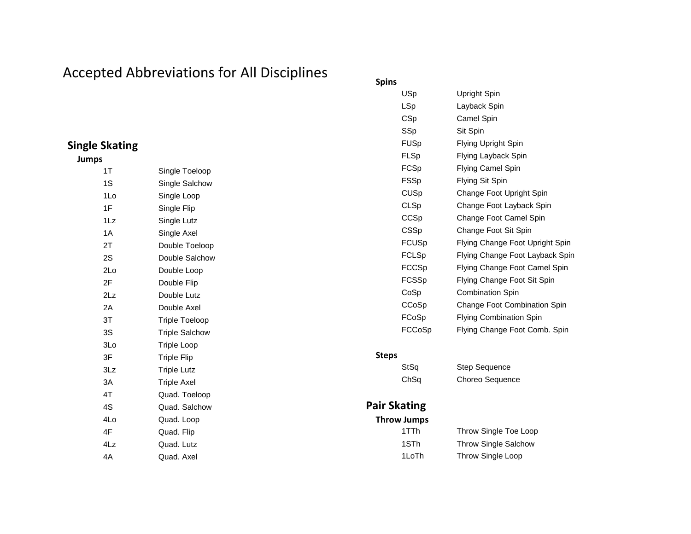# Accepted Abbreviations for All Disciplines

## **Single Skating**

#### **Jumps**

| 1T  | Single Toeloop        |
|-----|-----------------------|
| 1S  | Single Salchow        |
| 1Lo | Single Loop           |
| 1F  | Single Flip           |
| 1Lz | Single Lutz           |
| 1A  | Single Axel           |
| 2Τ  | Double Toeloop        |
| 2S  | Double Salchow        |
| 2Lo | Double Loop           |
| 2F  | Double Flip           |
| 2Lz | Double Lutz           |
| 2A  | Double Axel           |
| 3T  | Triple Toeloop        |
| 3S  | <b>Triple Salchow</b> |
| 3Lo | <b>Triple Loop</b>    |
| 3F  | <b>Triple Flip</b>    |
| 3Lz | <b>Triple Lutz</b>    |
| 3A  | <b>Triple Axel</b>    |
| 4T  | Quad. Toeloop         |
| 4S  | Quad. Salchow         |
| 4Lo | Quad. Loop            |
| 4F  | Quad. Flip            |
| 4Lz | Quad. Lutz            |
| 4A  | Quad. Axel            |

#### **Spins**

| USp    | Upright Spin                        |
|--------|-------------------------------------|
| LSp    | Layback Spin                        |
| CSp    | Camel Spin                          |
| SSp    | Sit Spin                            |
| FUSp   | Flying Upright Spin                 |
| FLSp   | Flying Layback Spin                 |
| FCSp   | Flying Camel Spin                   |
| FSSp   | Flying Sit Spin                     |
| CUSp   | Change Foot Upright Spin            |
| CLSp   | Change Foot Layback Spin            |
| CCSp   | Change Foot Camel Spin              |
| CSSp   | Change Foot Sit Spin                |
| FCUSp  | Flying Change Foot Upright Spin     |
| FCLSp  | Flying Change Foot Layback Spin     |
| FCCSp  | Flying Change Foot Camel Spin       |
| FCSSp  | Flying Change Foot Sit Spin         |
| CoSp   | <b>Combination Spin</b>             |
| CCoSp  | <b>Change Foot Combination Spin</b> |
| FCoSp  | <b>Flying Combination Spin</b>      |
| FCCoSp | Flying Change Foot Comb. Spin       |
|        |                                     |

#### **Steps**

StSq Step Sequence

ChSq Choreo Sequence

### **Pair Skating**

**Throw Jumps** 1TTh Throw Single Toe Loop

1STh Throw Single Salchow 1LoTh Throw Single Loop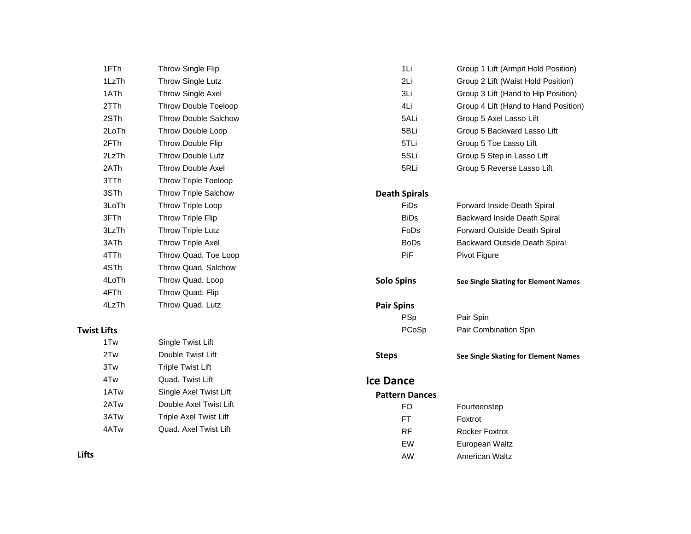| 1FTh               | Throw Single Flip           | 1Li                   | Group 1 Lift (Armpit Hold Position)  |
|--------------------|-----------------------------|-----------------------|--------------------------------------|
| 1LzTh              | Throw Single Lutz           | 2Li                   | Group 2 Lift (Waist Hold Position)   |
| 1ATh               | Throw Single Axel           | 3Li                   | Group 3 Lift (Hand to Hip Position)  |
| 2TTh               | Throw Double Toeloop        | 4Li                   | Group 4 Lift (Hand to Hand Position) |
| 2STh               | <b>Throw Double Salchow</b> | 5ALi                  | Group 5 Axel Lasso Lift              |
| 2LoTh              | Throw Double Loop           | 5BLi                  | Group 5 Backward Lasso Lift          |
| 2FTh               | Throw Double Flip           | 5TLi                  | Group 5 Toe Lasso Lift               |
| 2LzTh              | Throw Double Lutz           | 5SLi                  | Group 5 Step in Lasso Lift           |
| 2ATh               | Throw Double Axel           | 5RLi                  | Group 5 Reverse Lasso Lift           |
| 3TTh               | <b>Throw Triple Toeloop</b> |                       |                                      |
| 3STh               | <b>Throw Triple Salchow</b> | <b>Death Spirals</b>  |                                      |
| 3LoTh              | Throw Triple Loop           | FiDs                  | Forward Inside Death Spiral          |
| 3FTh               | Throw Triple Flip           | <b>BiDs</b>           | Backward Inside Death Spiral         |
| 3LzTh              | Throw Triple Lutz           | <b>FoDs</b>           | Forward Outside Death Spiral         |
| 3ATh               | Throw Triple Axel           | <b>BoDs</b>           | Backward Outside Death Spiral        |
| 4TTh               | Throw Quad. Toe Loop        | PiF                   | Pivot Figure                         |
| 4STh               | Throw Quad. Salchow         |                       |                                      |
| 4LoTh              | Throw Quad. Loop            | <b>Solo Spins</b>     | See Single Skating for Element Names |
| 4FTh               | Throw Quad. Flip            |                       |                                      |
| 4LzTh              | Throw Quad. Lutz            | <b>Pair Spins</b>     |                                      |
|                    |                             | <b>PSp</b>            | Pair Spin                            |
| <b>Twist Lifts</b> |                             | PCoSp                 | Pair Combination Spin                |
| 1Tw                | Single Twist Lift           |                       |                                      |
| 2Tw                | Double Twist Lift           | <b>Steps</b>          | See Single Skating for Element Names |
| 3Tw                | <b>Triple Twist Lift</b>    |                       |                                      |
| 4Tw                | Quad. Twist Lift            | <b>Ice Dance</b>      |                                      |
| 1AT <sub>w</sub>   | Single Axel Twist Lift      | <b>Pattern Dances</b> |                                      |
| 2ATw               | Double Axel Twist Lift      | <b>FO</b>             | Fourteenstep                         |
| 3ATw               | Triple Axel Twist Lift      | FT.                   | Foxtrot                              |
| 4ATw               | Quad. Axel Twist Lift       | <b>RF</b>             | <b>Rocker Foxtrot</b>                |
|                    |                             | EW                    | European Waltz                       |

AW American Waltz

**Lifts**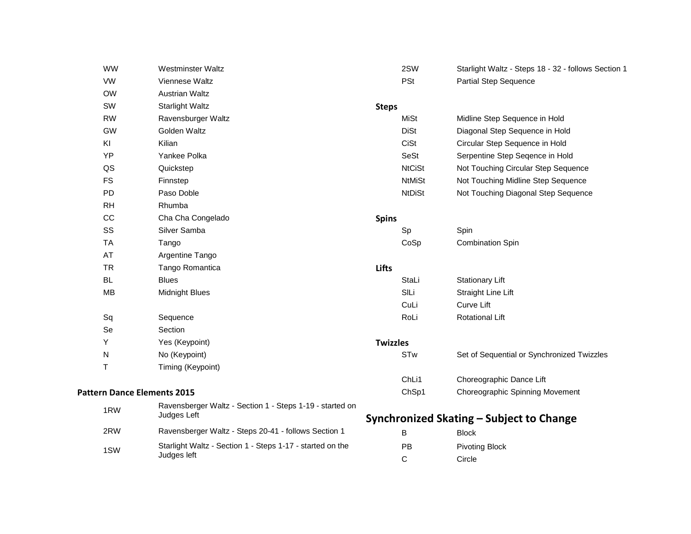|     | <b>WW</b>                          | Westminster Waltz                                                        |                 | 2SW           | Starlight Waltz - Steps 18 - 32 - follows Section 1 |
|-----|------------------------------------|--------------------------------------------------------------------------|-----------------|---------------|-----------------------------------------------------|
|     | <b>VW</b>                          | Viennese Waltz                                                           |                 | <b>PSt</b>    | <b>Partial Step Sequence</b>                        |
|     | <b>OW</b>                          | Austrian Waltz                                                           |                 |               |                                                     |
|     | SW                                 | <b>Starlight Waltz</b>                                                   | <b>Steps</b>    |               |                                                     |
|     | <b>RW</b>                          | Ravensburger Waltz                                                       |                 | <b>MiSt</b>   | Midline Step Sequence in Hold                       |
|     | <b>GW</b>                          | Golden Waltz                                                             |                 | <b>DiSt</b>   | Diagonal Step Sequence in Hold                      |
|     | KI                                 | Kilian                                                                   |                 | CiSt          | Circular Step Sequence in Hold                      |
|     | YP                                 | Yankee Polka                                                             |                 | SeSt          | Serpentine Step Seqence in Hold                     |
|     | QS                                 | Quickstep                                                                |                 | <b>NtCiSt</b> | Not Touching Circular Step Sequence                 |
|     | <b>FS</b>                          | Finnstep                                                                 |                 | <b>NtMiSt</b> | Not Touching Midline Step Sequence                  |
|     | PD                                 | Paso Doble                                                               |                 | <b>NtDiSt</b> | Not Touching Diagonal Step Sequence                 |
|     | <b>RH</b>                          | Rhumba                                                                   |                 |               |                                                     |
|     | CC                                 | Cha Cha Congelado                                                        | <b>Spins</b>    |               |                                                     |
|     | SS                                 | Silver Samba                                                             |                 | Sp            | Spin                                                |
|     | <b>TA</b>                          | Tango                                                                    |                 | CoSp          | <b>Combination Spin</b>                             |
|     | AT                                 | Argentine Tango                                                          |                 |               |                                                     |
|     | <b>TR</b>                          | Tango Romantica                                                          | <b>Lifts</b>    |               |                                                     |
|     | <b>BL</b>                          | <b>Blues</b>                                                             |                 | StaLi         | <b>Stationary Lift</b>                              |
|     | <b>MB</b>                          | <b>Midnight Blues</b>                                                    |                 | SILi          | Straight Line Lift                                  |
|     |                                    |                                                                          |                 | CuLi          | <b>Curve Lift</b>                                   |
|     | Sq                                 | Sequence                                                                 |                 | RoLi          | <b>Rotational Lift</b>                              |
|     | Se                                 | Section                                                                  |                 |               |                                                     |
|     | Y                                  | Yes (Keypoint)                                                           | <b>Twizzles</b> |               |                                                     |
|     | N                                  | No (Keypoint)                                                            |                 | <b>STw</b>    | Set of Sequential or Synchronized Twizzles          |
|     | T                                  | Timing (Keypoint)                                                        |                 |               |                                                     |
|     |                                    |                                                                          |                 | ChLi1         | Choreographic Dance Lift                            |
|     | <b>Pattern Dance Elements 2015</b> |                                                                          |                 | ChSp1         | Choreographic Spinning Movement                     |
|     | 1RW                                | Ravensberger Waltz - Section 1 - Steps 1-19 - started on<br>Judges Left  |                 |               | Synchronized Skating – Subject to Change            |
|     | 2RW                                | Ravensberger Waltz - Steps 20-41 - follows Section 1                     |                 | в             | <b>Block</b>                                        |
| 1SW |                                    | Starlight Waltz - Section 1 - Steps 1-17 - started on the<br>Judges left |                 | PB            | <b>Pivoting Block</b>                               |
|     |                                    |                                                                          |                 | C             | Circle                                              |